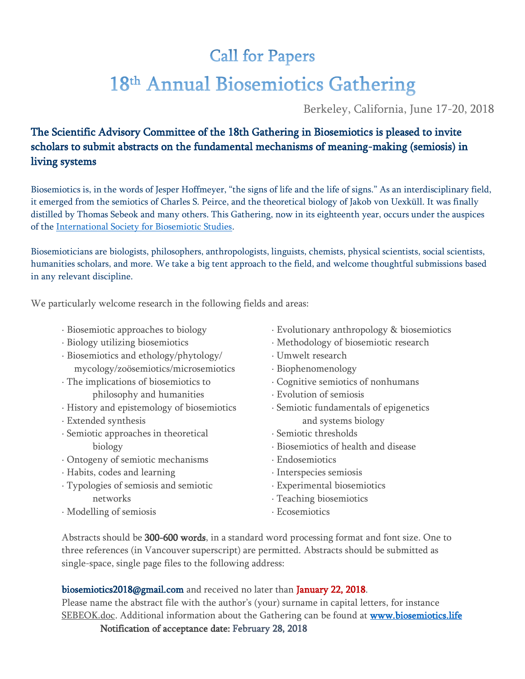## **Call for Papers** 18th Annual Biosemiotics Gathering

Berkeley, California, June 17-20, 2018

## The Scientific Advisory Committee of the 18th Gathering in Biosemiotics is pleased to invite scholars to submit abstracts on the fundamental mechanisms of meaning-making (semiosis) in living systems

Biosemiotics is, in the words of Jesper Hoffmeyer, "the signs of life and the life of signs." As an interdisciplinary field, it emerged from the semiotics of Charles S. Peirce, and the theoretical biology of Jakob von Uexküll. It was finally distilled by Thomas Sebeok and many others. This Gathering, now in its eighteenth year, occurs under the auspices of the [International Society for Biosemiotic Studies.](http://www.biosemiotics.org/)

Biosemioticians are biologists, philosophers, anthropologists, linguists, chemists, physical scientists, social scientists, humanities scholars, and more. We take a big tent approach to the field, and welcome thoughtful submissions based in any relevant discipline.

We particularly welcome research in the following fields and areas:

- · Biosemiotic approaches to biology
- · Biology utilizing biosemiotics
- · Biosemiotics and ethology/phytology/ mycology/zoösemiotics/microsemiotics
- · The implications of biosemiotics to philosophy and humanities
- · History and epistemology of biosemiotics
- · Extended synthesis
- · Semiotic approaches in theoretical biology
- · Ontogeny of semiotic mechanisms
- · Habits, codes and learning
- · Typologies of semiosis and semiotic networks
- · Evolutionary anthropology & biosemiotics
- · Methodology of biosemiotic research
- · Umwelt research
- · Biophenomenology
- · Cognitive semiotics of nonhumans
- · Evolution of semiosis
- · Semiotic fundamentals of epigenetics and systems biology
- · Semiotic thresholds
- · Biosemiotics of health and disease
- · Endosemiotics
- · Interspecies semiosis
- · Experimental biosemiotics
- · Teaching biosemiotics
- · Ecosemiotics

· Modelling of semiosis

Abstracts should be 300-600 words, in a standard word processing format and font size. One to three references (in Vancouver superscript) are permitted. Abstracts should be submitted as single-space, single page files to the following address:

biosemiotics2018@gmail.com and received no later than January 22, 2018.

Please name the abstract file with the author's (your) surname in capital letters, for instance SEBEOK.doc. Additional information about the Gathering can be found at www.biosemiotics.life

Notification of acceptance date: February 28, 2018